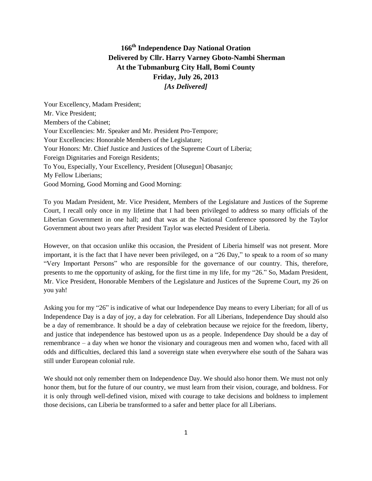## **166th Independence Day National Oration Delivered by Cllr. Harry Varney Gboto-Nambi Sherman At the Tubmanburg City Hall, Bomi County Friday, July 26, 2013** *[As Delivered]*

Your Excellency, Madam President; Mr. Vice President; Members of the Cabinet; Your Excellencies: Mr. Speaker and Mr. President Pro-Tempore; Your Excellencies: Honorable Members of the Legislature; Your Honors: Mr. Chief Justice and Justices of the Supreme Court of Liberia; Foreign Dignitaries and Foreign Residents; To You, Especially, Your Excellency, President [Olusegun] Obasanjo; My Fellow Liberians; Good Morning, Good Morning and Good Morning:

To you Madam President, Mr. Vice President, Members of the Legislature and Justices of the Supreme Court, I recall only once in my lifetime that I had been privileged to address so many officials of the Liberian Government in one hall; and that was at the National Conference sponsored by the Taylor Government about two years after President Taylor was elected President of Liberia.

However, on that occasion unlike this occasion, the President of Liberia himself was not present. More important, it is the fact that I have never been privileged, on a "26 Day," to speak to a room of so many "Very Important Persons" who are responsible for the governance of our country. This, therefore, presents to me the opportunity of asking, for the first time in my life, for my "26." So, Madam President, Mr. Vice President, Honorable Members of the Legislature and Justices of the Supreme Court, my 26 on you yah!

Asking you for my "26" is indicative of what our Independence Day means to every Liberian; for all of us Independence Day is a day of joy, a day for celebration. For all Liberians, Independence Day should also be a day of remembrance. It should be a day of celebration because we rejoice for the freedom, liberty, and justice that independence has bestowed upon us as a people. Independence Day should be a day of remembrance – a day when we honor the visionary and courageous men and women who, faced with all odds and difficulties, declared this land a sovereign state when everywhere else south of the Sahara was still under European colonial rule.

We should not only remember them on Independence Day. We should also honor them. We must not only honor them, but for the future of our country, we must learn from their vision, courage, and boldness. For it is only through well-defined vision, mixed with courage to take decisions and boldness to implement those decisions, can Liberia be transformed to a safer and better place for all Liberians.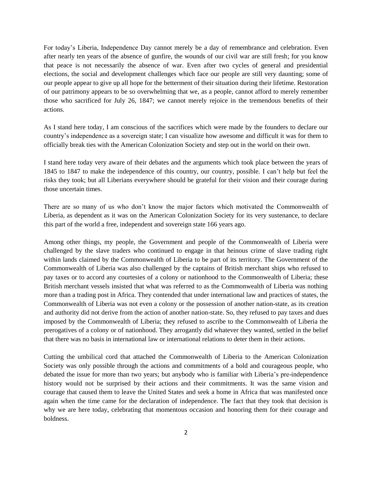For today's Liberia, Independence Day cannot merely be a day of remembrance and celebration. Even after nearly ten years of the absence of gunfire, the wounds of our civil war are still fresh; for you know that peace is not necessarily the absence of war. Even after two cycles of general and presidential elections, the social and development challenges which face our people are still very daunting; some of our people appear to give up all hope for the betterment of their situation during their lifetime. Restoration of our patrimony appears to be so overwhelming that we, as a people, cannot afford to merely remember those who sacrificed for July 26, 1847; we cannot merely rejoice in the tremendous benefits of their actions.

As I stand here today, I am conscious of the sacrifices which were made by the founders to declare our country's independence as a sovereign state; I can visualize how awesome and difficult it was for them to officially break ties with the American Colonization Society and step out in the world on their own.

I stand here today very aware of their debates and the arguments which took place between the years of 1845 to 1847 to make the independence of this country, our country, possible. I can't help but feel the risks they took; but all Liberians everywhere should be grateful for their vision and their courage during those uncertain times.

There are so many of us who don't know the major factors which motivated the Commonwealth of Liberia, as dependent as it was on the American Colonization Society for its very sustenance, to declare this part of the world a free, independent and sovereign state 166 years ago.

Among other things, my people, the Government and people of the Commonwealth of Liberia were challenged by the slave traders who continued to engage in that heinous crime of slave trading right within lands claimed by the Commonwealth of Liberia to be part of its territory. The Government of the Commonwealth of Liberia was also challenged by the captains of British merchant ships who refused to pay taxes or to accord any courtesies of a colony or nationhood to the Commonwealth of Liberia; these British merchant vessels insisted that what was referred to as the Commonwealth of Liberia was nothing more than a trading post in Africa. They contended that under international law and practices of states, the Commonwealth of Liberia was not even a colony or the possession of another nation-state, as its creation and authority did not derive from the action of another nation-state. So, they refused to pay taxes and dues imposed by the Commonwealth of Liberia; they refused to ascribe to the Commonwealth of Liberia the prerogatives of a colony or of nationhood. They arrogantly did whatever they wanted, settled in the belief that there was no basis in international law or international relations to deter them in their actions.

Cutting the umbilical cord that attached the Commonwealth of Liberia to the American Colonization Society was only possible through the actions and commitments of a bold and courageous people, who debated the issue for more than two years; but anybody who is familiar with Liberia's pre-independence history would not be surprised by their actions and their commitments. It was the same vision and courage that caused them to leave the United States and seek a home in Africa that was manifested once again when the time came for the declaration of independence. The fact that they took that decision is why we are here today, celebrating that momentous occasion and honoring them for their courage and boldness.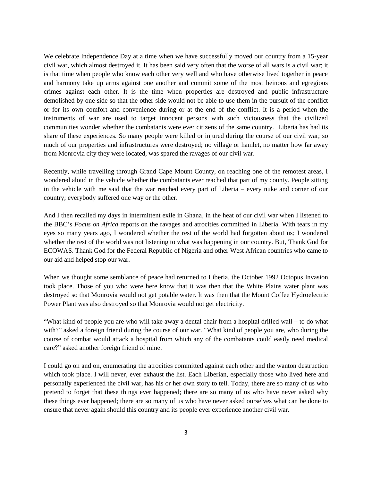We celebrate Independence Day at a time when we have successfully moved our country from a 15-year civil war, which almost destroyed it. It has been said very often that the worse of all wars is a civil war; it is that time when people who know each other very well and who have otherwise lived together in peace and harmony take up arms against one another and commit some of the most heinous and egregious crimes against each other. It is the time when properties are destroyed and public infrastructure demolished by one side so that the other side would not be able to use them in the pursuit of the conflict or for its own comfort and convenience during or at the end of the conflict. It is a period when the instruments of war are used to target innocent persons with such viciousness that the civilized communities wonder whether the combatants were ever citizens of the same country. Liberia has had its share of these experiences. So many people were killed or injured during the course of our civil war; so much of our properties and infrastructures were destroyed; no village or hamlet, no matter how far away from Monrovia city they were located, was spared the ravages of our civil war.

Recently, while travelling through Grand Cape Mount County, on reaching one of the remotest areas, I wondered aloud in the vehicle whether the combatants ever reached that part of my county. People sitting in the vehicle with me said that the war reached every part of Liberia – every nuke and corner of our country; everybody suffered one way or the other.

And I then recalled my days in intermittent exile in Ghana, in the heat of our civil war when I listened to the BBC's *Focus on Africa* reports on the ravages and atrocities committed in Liberia. With tears in my eyes so many years ago, I wondered whether the rest of the world had forgotten about us; I wondered whether the rest of the world was not listening to what was happening in our country. But, Thank God for ECOWAS. Thank God for the Federal Republic of Nigeria and other West African countries who came to our aid and helped stop our war.

When we thought some semblance of peace had returned to Liberia, the October 1992 Octopus Invasion took place. Those of you who were here know that it was then that the White Plains water plant was destroyed so that Monrovia would not get potable water. It was then that the Mount Coffee Hydroelectric Power Plant was also destroyed so that Monrovia would not get electricity.

"What kind of people you are who will take away a dental chair from a hospital drilled wall – to do what with?" asked a foreign friend during the course of our war. "What kind of people you are, who during the course of combat would attack a hospital from which any of the combatants could easily need medical care?" asked another foreign friend of mine.

I could go on and on, enumerating the atrocities committed against each other and the wanton destruction which took place. I will never, ever exhaust the list. Each Liberian, especially those who lived here and personally experienced the civil war, has his or her own story to tell. Today, there are so many of us who pretend to forget that these things ever happened; there are so many of us who have never asked why these things ever happened; there are so many of us who have never asked ourselves what can be done to ensure that never again should this country and its people ever experience another civil war.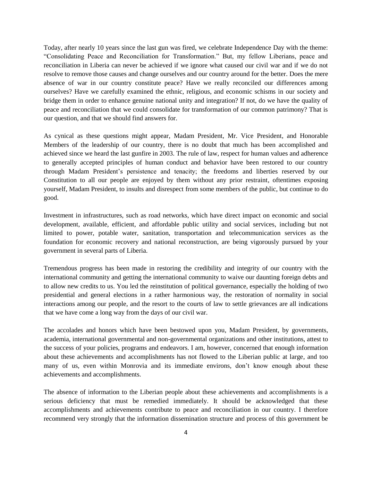Today, after nearly 10 years since the last gun was fired, we celebrate Independence Day with the theme: "Consolidating Peace and Reconciliation for Transformation." But, my fellow Liberians, peace and reconciliation in Liberia can never be achieved if we ignore what caused our civil war and if we do not resolve to remove those causes and change ourselves and our country around for the better. Does the mere absence of war in our country constitute peace? Have we really reconciled our differences among ourselves? Have we carefully examined the ethnic, religious, and economic schisms in our society and bridge them in order to enhance genuine national unity and integration? If not, do we have the quality of peace and reconciliation that we could consolidate for transformation of our common patrimony? That is our question, and that we should find answers for.

As cynical as these questions might appear, Madam President, Mr. Vice President, and Honorable Members of the leadership of our country, there is no doubt that much has been accomplished and achieved since we heard the last gunfire in 2003. The rule of law, respect for human values and adherence to generally accepted principles of human conduct and behavior have been restored to our country through Madam President's persistence and tenacity; the freedoms and liberties reserved by our Constitution to all our people are enjoyed by them without any prior restraint, oftentimes exposing yourself, Madam President, to insults and disrespect from some members of the public, but continue to do good.

Investment in infrastructures, such as road networks, which have direct impact on economic and social development, available, efficient, and affordable public utility and social services, including but not limited to power, potable water, sanitation, transportation and telecommunication services as the foundation for economic recovery and national reconstruction, are being vigorously pursued by your government in several parts of Liberia.

Tremendous progress has been made in restoring the credibility and integrity of our country with the international community and getting the international community to waive our daunting foreign debts and to allow new credits to us. You led the reinstitution of political governance, especially the holding of two presidential and general elections in a rather harmonious way, the restoration of normality in social interactions among our people, and the resort to the courts of law to settle grievances are all indications that we have come a long way from the days of our civil war.

The accolades and honors which have been bestowed upon you, Madam President, by governments, academia, international governmental and non-governmental organizations and other institutions, attest to the success of your policies, programs and endeavors. I am, however, concerned that enough information about these achievements and accomplishments has not flowed to the Liberian public at large, and too many of us, even within Monrovia and its immediate environs, don't know enough about these achievements and accomplishments.

The absence of information to the Liberian people about these achievements and accomplishments is a serious deficiency that must be remedied immediately. It should be acknowledged that these accomplishments and achievements contribute to peace and reconciliation in our country. I therefore recommend very strongly that the information dissemination structure and process of this government be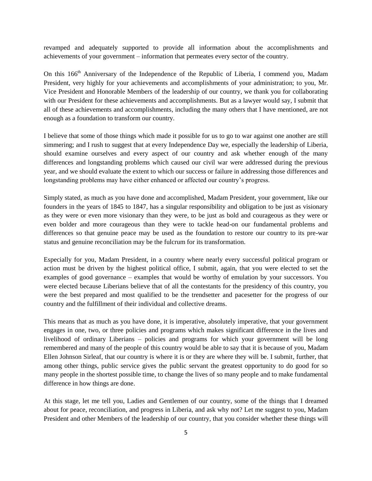revamped and adequately supported to provide all information about the accomplishments and achievements of your government – information that permeates every sector of the country.

On this 166<sup>th</sup> Anniversary of the Independence of the Republic of Liberia, I commend you, Madam President, very highly for your achievements and accomplishments of your administration; to you, Mr. Vice President and Honorable Members of the leadership of our country, we thank you for collaborating with our President for these achievements and accomplishments. But as a lawyer would say, I submit that all of these achievements and accomplishments, including the many others that I have mentioned, are not enough as a foundation to transform our country.

I believe that some of those things which made it possible for us to go to war against one another are still simmering; and I rush to suggest that at every Independence Day we, especially the leadership of Liberia, should examine ourselves and every aspect of our country and ask whether enough of the many differences and longstanding problems which caused our civil war were addressed during the previous year, and we should evaluate the extent to which our success or failure in addressing those differences and longstanding problems may have either enhanced or affected our country's progress.

Simply stated, as much as you have done and accomplished, Madam President, your government, like our founders in the years of 1845 to 1847, has a singular responsibility and obligation to be just as visionary as they were or even more visionary than they were, to be just as bold and courageous as they were or even bolder and more courageous than they were to tackle head-on our fundamental problems and differences so that genuine peace may be used as the foundation to restore our country to its pre-war status and genuine reconciliation may be the fulcrum for its transformation.

Especially for you, Madam President, in a country where nearly every successful political program or action must be driven by the highest political office, I submit, again, that you were elected to set the examples of good governance – examples that would be worthy of emulation by your successors. You were elected because Liberians believe that of all the contestants for the presidency of this country, you were the best prepared and most qualified to be the trendsetter and pacesetter for the progress of our country and the fulfillment of their individual and collective dreams.

This means that as much as you have done, it is imperative, absolutely imperative, that your government engages in one, two, or three policies and programs which makes significant difference in the lives and livelihood of ordinary Liberians – policies and programs for which your government will be long remembered and many of the people of this country would be able to say that it is because of you, Madam Ellen Johnson Sirleaf, that our country is where it is or they are where they will be. I submit, further, that among other things, public service gives the public servant the greatest opportunity to do good for so many people in the shortest possible time, to change the lives of so many people and to make fundamental difference in how things are done.

At this stage, let me tell you, Ladies and Gentlemen of our country, some of the things that I dreamed about for peace, reconciliation, and progress in Liberia, and ask why not? Let me suggest to you, Madam President and other Members of the leadership of our country, that you consider whether these things will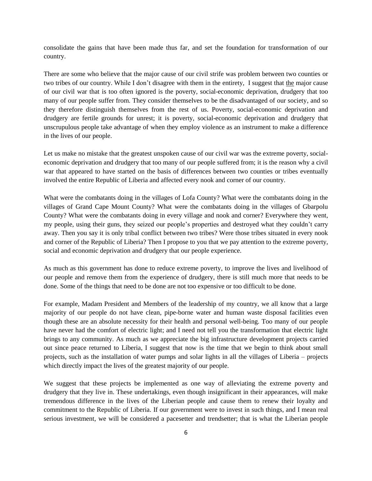consolidate the gains that have been made thus far, and set the foundation for transformation of our country.

There are some who believe that the major cause of our civil strife was problem between two counties or two tribes of our country. While I don't disagree with them in the entirety, I suggest that the major cause of our civil war that is too often ignored is the poverty, social-economic deprivation, drudgery that too many of our people suffer from. They consider themselves to be the disadvantaged of our society, and so they therefore distinguish themselves from the rest of us. Poverty, social-economic deprivation and drudgery are fertile grounds for unrest; it is poverty, social-economic deprivation and drudgery that unscrupulous people take advantage of when they employ violence as an instrument to make a difference in the lives of our people.

Let us make no mistake that the greatest unspoken cause of our civil war was the extreme poverty, socialeconomic deprivation and drudgery that too many of our people suffered from; it is the reason why a civil war that appeared to have started on the basis of differences between two counties or tribes eventually involved the entire Republic of Liberia and affected every nook and corner of our country.

What were the combatants doing in the villages of Lofa County? What were the combatants doing in the villages of Grand Cape Mount County? What were the combatants doing in the villages of Gbarpolu County? What were the combatants doing in every village and nook and corner? Everywhere they went, my people, using their guns, they seized our people's properties and destroyed what they couldn't carry away. Then you say it is only tribal conflict between two tribes? Were those tribes situated in every nook and corner of the Republic of Liberia? Then I propose to you that we pay attention to the extreme poverty, social and economic deprivation and drudgery that our people experience.

As much as this government has done to reduce extreme poverty, to improve the lives and livelihood of our people and remove them from the experience of drudgery, there is still much more that needs to be done. Some of the things that need to be done are not too expensive or too difficult to be done.

For example, Madam President and Members of the leadership of my country, we all know that a large majority of our people do not have clean, pipe-borne water and human waste disposal facilities even though these are an absolute necessity for their health and personal well-being. Too many of our people have never had the comfort of electric light; and I need not tell you the transformation that electric light brings to any community. As much as we appreciate the big infrastructure development projects carried out since peace returned to Liberia, I suggest that now is the time that we begin to think about small projects, such as the installation of water pumps and solar lights in all the villages of Liberia – projects which directly impact the lives of the greatest majority of our people.

We suggest that these projects be implemented as one way of alleviating the extreme poverty and drudgery that they live in. These undertakings, even though insignificant in their appearances, will make tremendous difference in the lives of the Liberian people and cause them to renew their loyalty and commitment to the Republic of Liberia. If our government were to invest in such things, and I mean real serious investment, we will be considered a pacesetter and trendsetter; that is what the Liberian people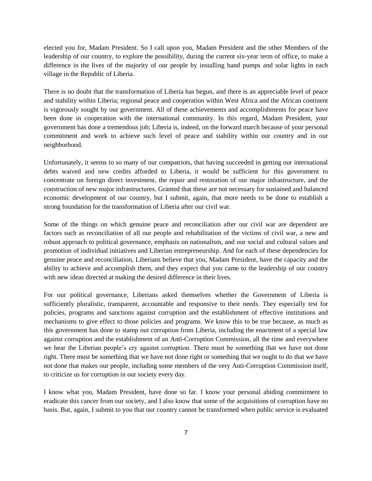elected you for, Madam President. So I call upon you, Madam President and the other Members of the leadership of our country, to explore the possibility, during the current six-year term of office, to make a difference in the lives of the majority of our people by installing hand pumps and solar lights in each village in the Republic of Liberia.

There is no doubt that the transformation of Liberia has begun, and there is an appreciable level of peace and stability within Liberia; regional peace and cooperation within West Africa and the African continent is vigorously sought by our government. All of these achievements and accomplishments for peace have been done in cooperation with the international community. In this regard, Madam President, your government has done a tremendous job; Liberia is, indeed, on the forward march because of your personal commitment and work to achieve such level of peace and stability within our country and in our neighborhood.

Unfortunately, it seems to so many of our compatriots, that having succeeded in getting our international debts waived and new credits afforded to Liberia, it would be sufficient for this government to concentrate on foreign direct investment, the repair and restoration of our major infrastructure, and the construction of new major infrastructures. Granted that these are not necessary for sustained and balanced economic development of our country, but I submit, again, that more needs to be done to establish a strong foundation for the transformation of Liberia after our civil war.

Some of the things on which genuine peace and reconciliation after our civil war are dependent are factors such as reconciliation of all our people and rehabilitation of the victims of civil war, a new and robust approach to political governance, emphasis on nationalism, and our social and cultural values and promotion of individual initiatives and Liberian entrepreneurship. And for each of these dependencies for genuine peace and reconciliation, Liberians believe that you, Madam President, have the capacity and the ability to achieve and accomplish them, and they expect that you came to the leadership of our country with new ideas directed at making the desired difference in their lives.

For our political governance, Liberians asked themselves whether the Government of Liberia is sufficiently pluralistic, transparent, accountable and responsive to their needs. They especially test for policies, programs and sanctions against corruption and the establishment of effective institutions and mechanisms to give effect to those policies and programs. We know this to be true because, as much as this government has done to stamp out corruption from Liberia, including the enactment of a special law against corruption and the establishment of an Anti-Corruption Commission, all the time and everywhere we hear the Liberian people's cry against corruption. There must be something that we have not done right. There must be something that we have not done right or something that we ought to do that we have not done that makes our people, including some members of the very Anti-Corruption Commission itself, to criticize us for corruption in our society every day.

I know what you, Madam President, have done so far. I know your personal abiding commitment to eradicate this cancer from our society, and I also know that some of the acquisitions of corruption have no basis. But, again, I submit to you that our country cannot be transformed when public service is evaluated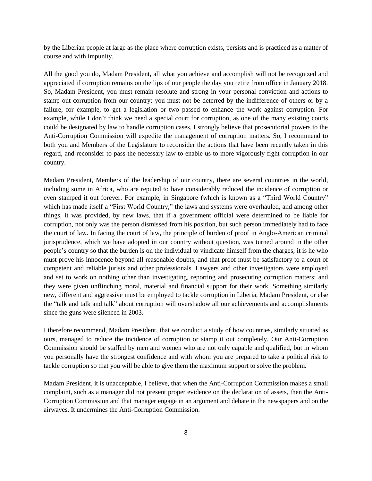by the Liberian people at large as the place where corruption exists, persists and is practiced as a matter of course and with impunity.

All the good you do, Madam President, all what you achieve and accomplish will not be recognized and appreciated if corruption remains on the lips of our people the day you retire from office in January 2018. So, Madam President, you must remain resolute and strong in your personal conviction and actions to stamp out corruption from our country; you must not be deterred by the indifference of others or by a failure, for example, to get a legislation or two passed to enhance the work against corruption. For example, while I don't think we need a special court for corruption, as one of the many existing courts could be designated by law to handle corruption cases, I strongly believe that prosecutorial powers to the Anti-Corruption Commission will expedite the management of corruption matters. So, I recommend to both you and Members of the Legislature to reconsider the actions that have been recently taken in this regard, and reconsider to pass the necessary law to enable us to more vigorously fight corruption in our country.

Madam President, Members of the leadership of our country, there are several countries in the world, including some in Africa, who are reputed to have considerably reduced the incidence of corruption or even stamped it out forever. For example, in Singapore (which is known as a "Third World Country" which has made itself a "First World Country," the laws and systems were overhauled, and among other things, it was provided, by new laws, that if a government official were determined to be liable for corruption, not only was the person dismissed from his position, but such person immediately had to face the court of law. In facing the court of law, the principle of burden of proof in Anglo-American criminal jurisprudence, which we have adopted in our country without question, was turned around in the other people's country so that the burden is on the individual to vindicate himself from the charges; it is he who must prove his innocence beyond all reasonable doubts, and that proof must be satisfactory to a court of competent and reliable jurists and other professionals. Lawyers and other investigators were employed and set to work on nothing other than investigating, reporting and prosecuting corruption matters; and they were given unflinching moral, material and financial support for their work. Something similarly new, different and aggressive must be employed to tackle corruption in Liberia, Madam President, or else the "talk and talk and talk" about corruption will overshadow all our achievements and accomplishments since the guns were silenced in 2003.

I therefore recommend, Madam President, that we conduct a study of how countries, similarly situated as ours, managed to reduce the incidence of corruption or stamp it out completely. Our Anti-Corruption Commission should be staffed by men and women who are not only capable and qualified, but in whom you personally have the strongest confidence and with whom you are prepared to take a political risk to tackle corruption so that you will be able to give them the maximum support to solve the problem.

Madam President, it is unacceptable, I believe, that when the Anti-Corruption Commission makes a small complaint, such as a manager did not present proper evidence on the declaration of assets, then the Anti-Corruption Commission and that manager engage in an argument and debate in the newspapers and on the airwaves. It undermines the Anti-Corruption Commission.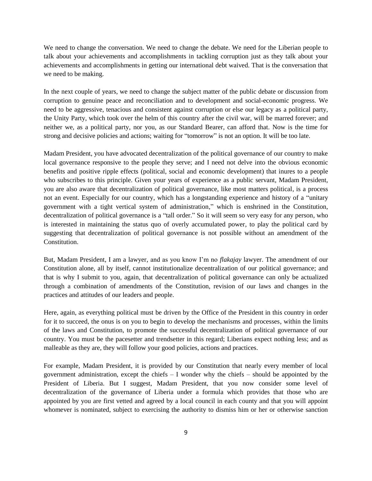We need to change the conversation. We need to change the debate. We need for the Liberian people to talk about your achievements and accomplishments in tackling corruption just as they talk about your achievements and accomplishments in getting our international debt waived. That is the conversation that we need to be making.

In the next couple of years, we need to change the subject matter of the public debate or discussion from corruption to genuine peace and reconciliation and to development and social-economic progress. We need to be aggressive, tenacious and consistent against corruption or else our legacy as a political party, the Unity Party, which took over the helm of this country after the civil war, will be marred forever; and neither we, as a political party, nor you, as our Standard Bearer, can afford that. Now is the time for strong and decisive policies and actions; waiting for "tomorrow" is not an option. It will be too late.

Madam President, you have advocated decentralization of the political governance of our country to make local governance responsive to the people they serve; and I need not delve into the obvious economic benefits and positive ripple effects (political, social and economic development) that inures to a people who subscribes to this principle. Given your years of experience as a public servant, Madam President, you are also aware that decentralization of political governance, like most matters political, is a process not an event. Especially for our country, which has a longstanding experience and history of a "unitary government with a tight vertical system of administration," which is enshrined in the Constitution, decentralization of political governance is a "tall order." So it will seem so very easy for any person, who is interested in maintaining the status quo of overly accumulated power, to play the political card by suggesting that decentralization of political governance is not possible without an amendment of the Constitution.

But, Madam President, I am a lawyer, and as you know I'm no *flakajay* lawyer. The amendment of our Constitution alone, all by itself, cannot institutionalize decentralization of our political governance; and that is why I submit to you, again, that decentralization of political governance can only be actualized through a combination of amendments of the Constitution, revision of our laws and changes in the practices and attitudes of our leaders and people.

Here, again, as everything political must be driven by the Office of the President in this country in order for it to succeed, the onus is on you to begin to develop the mechanisms and processes, within the limits of the laws and Constitution, to promote the successful decentralization of political governance of our country. You must be the pacesetter and trendsetter in this regard; Liberians expect nothing less; and as malleable as they are, they will follow your good policies, actions and practices.

For example, Madam President, it is provided by our Constitution that nearly every member of local government administration, except the chiefs  $-$  I wonder why the chiefs  $-$  should be appointed by the President of Liberia. But I suggest, Madam President, that you now consider some level of decentralization of the governance of Liberia under a formula which provides that those who are appointed by you are first vetted and agreed by a local council in each county and that you will appoint whomever is nominated, subject to exercising the authority to dismiss him or her or otherwise sanction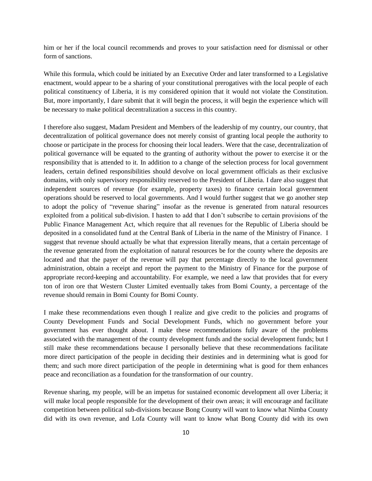him or her if the local council recommends and proves to your satisfaction need for dismissal or other form of sanctions.

While this formula, which could be initiated by an Executive Order and later transformed to a Legislative enactment, would appear to be a sharing of your constitutional prerogatives with the local people of each political constituency of Liberia, it is my considered opinion that it would not violate the Constitution. But, more importantly, I dare submit that it will begin the process, it will begin the experience which will be necessary to make political decentralization a success in this country.

I therefore also suggest, Madam President and Members of the leadership of my country, our country, that decentralization of political governance does not merely consist of granting local people the authority to choose or participate in the process for choosing their local leaders. Were that the case, decentralization of political governance will be equated to the granting of authority without the power to exercise it or the responsibility that is attended to it. In addition to a change of the selection process for local government leaders, certain defined responsibilities should devolve on local government officials as their exclusive domains, with only supervisory responsibility reserved to the President of Liberia. I dare also suggest that independent sources of revenue (for example, property taxes) to finance certain local government operations should be reserved to local governments. And I would further suggest that we go another step to adopt the policy of "revenue sharing" insofar as the revenue is generated from natural resources exploited from a political sub-division. I hasten to add that I don't subscribe to certain provisions of the Public Finance Management Act*,* which require that all revenues for the Republic of Liberia should be deposited in a consolidated fund at the Central Bank of Liberia in the name of the Ministry of Finance. I suggest that revenue should actually be what that expression literally means, that a certain percentage of the revenue generated from the exploitation of natural resources be for the county where the deposits are located and that the payer of the revenue will pay that percentage directly to the local government administration, obtain a receipt and report the payment to the Ministry of Finance for the purpose of appropriate record-keeping and accountability. For example, we need a law that provides that for every ton of iron ore that Western Cluster Limited eventually takes from Bomi County, a percentage of the revenue should remain in Bomi County for Bomi County.

I make these recommendations even though I realize and give credit to the policies and programs of County Development Funds and Social Development Funds, which no government before your government has ever thought about. I make these recommendations fully aware of the problems associated with the management of the county development funds and the social development funds; but I still make these recommendations because I personally believe that these recommendations facilitate more direct participation of the people in deciding their destinies and in determining what is good for them; and such more direct participation of the people in determining what is good for them enhances peace and reconciliation as a foundation for the transformation of our country.

Revenue sharing, my people, will be an impetus for sustained economic development all over Liberia; it will make local people responsible for the development of their own areas; it will encourage and facilitate competition between political sub-divisions because Bong County will want to know what Nimba County did with its own revenue, and Lofa County will want to know what Bong County did with its own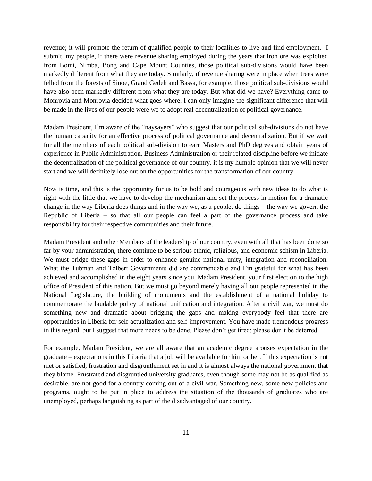revenue; it will promote the return of qualified people to their localities to live and find employment. I submit, my people, if there were revenue sharing employed during the years that iron ore was exploited from Bomi, Nimba, Bong and Cape Mount Counties, those political sub-divisions would have been markedly different from what they are today. Similarly, if revenue sharing were in place when trees were felled from the forests of Sinoe, Grand Gedeh and Bassa, for example, those political sub-divisions would have also been markedly different from what they are today. But what did we have? Everything came to Monrovia and Monrovia decided what goes where. I can only imagine the significant difference that will be made in the lives of our people were we to adopt real decentralization of political governance.

Madam President, I'm aware of the "naysayers" who suggest that our political sub-divisions do not have the human capacity for an effective process of political governance and decentralization. But if we wait for all the members of each political sub-division to earn Masters and PhD degrees and obtain years of experience in Public Administration, Business Administration or their related discipline before we initiate the decentralization of the political governance of our country, it is my humble opinion that we will never start and we will definitely lose out on the opportunities for the transformation of our country.

Now is time, and this is the opportunity for us to be bold and courageous with new ideas to do what is right with the little that we have to develop the mechanism and set the process in motion for a dramatic change in the way Liberia does things and in the way we, as a people, do things – the way we govern the Republic of Liberia – so that all our people can feel a part of the governance process and take responsibility for their respective communities and their future.

Madam President and other Members of the leadership of our country, even with all that has been done so far by your administration, there continue to be serious ethnic, religious, and economic schism in Liberia. We must bridge these gaps in order to enhance genuine national unity, integration and reconciliation. What the Tubman and Tolbert Governments did are commendable and I'm grateful for what has been achieved and accomplished in the eight years since you, Madam President, your first election to the high office of President of this nation. But we must go beyond merely having all our people represented in the National Legislature, the building of monuments and the establishment of a national holiday to commemorate the laudable policy of national unification and integration. After a civil war, we must do something new and dramatic about bridging the gaps and making everybody feel that there are opportunities in Liberia for self-actualization and self-improvement. You have made tremendous progress in this regard, but I suggest that more needs to be done. Please don't get tired; please don't be deterred.

For example, Madam President, we are all aware that an academic degree arouses expectation in the graduate – expectations in this Liberia that a job will be available for him or her. If this expectation is not met or satisfied, frustration and disgruntlement set in and it is almost always the national government that they blame. Frustrated and disgruntled university graduates, even though some may not be as qualified as desirable, are not good for a country coming out of a civil war. Something new, some new policies and programs, ought to be put in place to address the situation of the thousands of graduates who are unemployed, perhaps languishing as part of the disadvantaged of our country.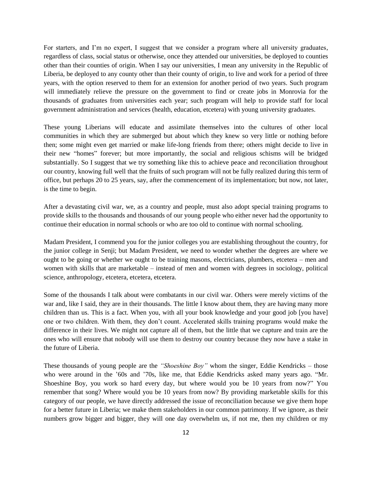For starters, and I'm no expert, I suggest that we consider a program where all university graduates, regardless of class, social status or otherwise, once they attended our universities, be deployed to counties other than their counties of origin. When I say our universities, I mean any university in the Republic of Liberia, be deployed to any county other than their county of origin, to live and work for a period of three years, with the option reserved to them for an extension for another period of two years. Such program will immediately relieve the pressure on the government to find or create jobs in Monrovia for the thousands of graduates from universities each year; such program will help to provide staff for local government administration and services (health, education, etcetera) with young university graduates.

These young Liberians will educate and assimilate themselves into the cultures of other local communities in which they are submerged but about which they knew so very little or nothing before then; some might even get married or make life-long friends from there; others might decide to live in their new "homes" forever; but more importantly, the social and religious schisms will be bridged substantially. So I suggest that we try something like this to achieve peace and reconciliation throughout our country, knowing full well that the fruits of such program will not be fully realized during this term of office, but perhaps 20 to 25 years, say, after the commencement of its implementation; but now, not later, is the time to begin.

After a devastating civil war, we, as a country and people, must also adopt special training programs to provide skills to the thousands and thousands of our young people who either never had the opportunity to continue their education in normal schools or who are too old to continue with normal schooling.

Madam President, I commend you for the junior colleges you are establishing throughout the country, for the junior college in Senji; but Madam President, we need to wonder whether the degrees are where we ought to be going or whether we ought to be training masons, electricians, plumbers, etcetera – men and women with skills that are marketable – instead of men and women with degrees in sociology, political science, anthropology, etcetera, etcetera, etcetera.

Some of the thousands I talk about were combatants in our civil war. Others were merely victims of the war and, like I said, they are in their thousands. The little I know about them, they are having many more children than us. This is a fact. When you, with all your book knowledge and your good job [you have] one or two children. With them, they don't count. Accelerated skills training programs would make the difference in their lives. We might not capture all of them, but the little that we capture and train are the ones who will ensure that nobody will use them to destroy our country because they now have a stake in the future of Liberia.

These thousands of young people are the *"Shoeshine Boy"* whom the singer, Eddie Kendricks – those who were around in the '60s and '70s, like me, that Eddie Kendricks asked many years ago. "Mr. Shoeshine Boy, you work so hard every day, but where would you be 10 years from now?" You remember that song? Where would you be 10 years from now? By providing marketable skills for this category of our people, we have directly addressed the issue of reconciliation because we give them hope for a better future in Liberia; we make them stakeholders in our common patrimony. If we ignore, as their numbers grow bigger and bigger, they will one day overwhelm us, if not me, then my children or my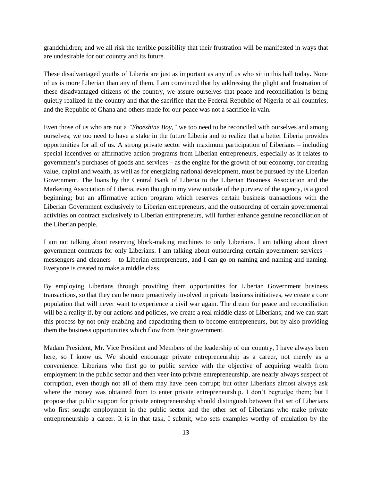grandchildren; and we all risk the terrible possibility that their frustration will be manifested in ways that are undesirable for our country and its future.

These disadvantaged youths of Liberia are just as important as any of us who sit in this hall today. None of us is more Liberian than any of them. I am convinced that by addressing the plight and frustration of these disadvantaged citizens of the country, we assure ourselves that peace and reconciliation is being quietly realized in the country and that the sacrifice that the Federal Republic of Nigeria of all countries, and the Republic of Ghana and others made for our peace was not a sacrifice in vain.

Even those of us who are not a *"Shoeshine Boy,"* we too need to be reconciled with ourselves and among ourselves; we too need to have a stake in the future Liberia and to realize that a better Liberia provides opportunities for all of us. A strong private sector with maximum participation of Liberians – including special incentives or affirmative action programs from Liberian entrepreneurs, especially as it relates to government's purchases of goods and services – as the engine for the growth of our economy, for creating value, capital and wealth, as well as for energizing national development, must be pursued by the Liberian Government. The loans by the Central Bank of Liberia to the Liberian Business Association and the Marketing Association of Liberia, even though in my view outside of the purview of the agency, is a good beginning; but an affirmative action program which reserves certain business transactions with the Liberian Government exclusively to Liberian entrepreneurs, and the outsourcing of certain governmental activities on contract exclusively to Liberian entrepreneurs, will further enhance genuine reconciliation of the Liberian people.

I am not talking about reserving block-making machines to only Liberians. I am talking about direct government contracts for only Liberians. I am talking about outsourcing certain government services – messengers and cleaners – to Liberian entrepreneurs, and I can go on naming and naming and naming. Everyone is created to make a middle class.

By employing Liberians through providing them opportunities for Liberian Government business transactions, so that they can be more proactively involved in private business initiatives, we create a core population that will never want to experience a civil war again. The dream for peace and reconciliation will be a reality if, by our actions and policies, we create a real middle class of Liberians; and we can start this process by not only enabling and capacitating them to become entrepreneurs, but by also providing them the business opportunities which flow from their government.

Madam President, Mr. Vice President and Members of the leadership of our country, I have always been here, so I know us. We should encourage private entrepreneurship as a career, not merely as a convenience. Liberians who first go to public service with the objective of acquiring wealth from employment in the public sector and then veer into private entrepreneurship, are nearly always suspect of corruption, even though not all of them may have been corrupt; but other Liberians almost always ask where the money was obtained from to enter private entrepreneurship. I don't begrudge them; but I propose that public support for private entrepreneurship should distinguish between that set of Liberians who first sought employment in the public sector and the other set of Liberians who make private entrepreneurship a career. It is in that task, I submit, who sets examples worthy of emulation by the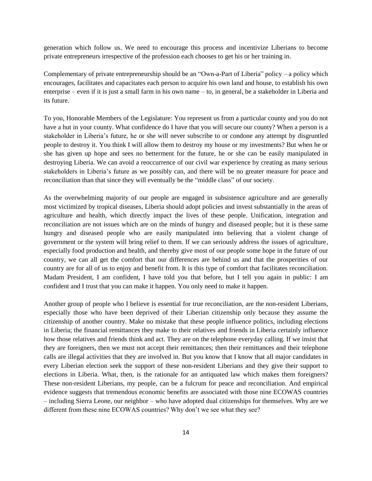generation which follow us. We need to encourage this process and incentivize Liberians to become private entrepreneurs irrespective of the profession each chooses to get his or her training in.

Complementary of private entrepreneurship should be an "Own-a-Part of Liberia" policy – a policy which encourages, facilitates and capacitates each person to acquire his own land and house, to establish his own enterprise – even if it is just a small farm in his own name – to, in general, be a stakeholder in Liberia and its future.

To you, Honorable Members of the Legislature: You represent us from a particular county and you do not have a hut in your county. What confidence do I have that you will secure our county? When a person is a stakeholder in Liberia's future, he or she will never subscribe to or condone any attempt by disgruntled people to destroy it. You think I will allow them to destroy my house or my investments? But when he or she has given up hope and sees no betterment for the future, he or she can be easily manipulated in destroying Liberia. We can avoid a reoccurrence of our civil war experience by creating as many serious stakeholders in Liberia's future as we possibly can, and there will be no greater measure for peace and reconciliation than that since they will eventually be the "middle class" of our society.

As the overwhelming majority of our people are engaged in subsistence agriculture and are generally most victimized by tropical diseases, Liberia should adopt policies and invest substantially in the areas of agriculture and health, which directly impact the lives of these people. Unification, integration and reconciliation are not issues which are on the minds of hungry and diseased people; but it is these same hungry and diseased people who are easily manipulated into believing that a violent change of government or the system will bring relief to them. If we can seriously address the issues of agriculture, especially food production and health, and thereby give most of our people some hope in the future of our country, we can all get the comfort that our differences are behind us and that the prosperities of our country are for all of us to enjoy and benefit from. It is this type of comfort that facilitates reconciliation. Madam President, I am confident, I have told you that before, but I tell you again in public: I am confident and I trust that you can make it happen. You only need to make it happen.

Another group of people who I believe is essential for true reconciliation, are the non-resident Liberians, especially those who have been deprived of their Liberian citizenship only because they assume the citizenship of another country. Make no mistake that these people influence politics, including elections in Liberia; the financial remittances they make to their relatives and friends in Liberia certainly influence how those relatives and friends think and act. They are on the telephone everyday calling. If we insist that they are foreigners, then we must not accept their remittances; then their remittances and their telephone calls are illegal activities that they are involved in. But you know that I know that all major candidates in every Liberian election seek the support of these non-resident Liberians and they give their support to elections in Liberia. What, then, is the rationale for an antiquated law which makes them foreigners? These non-resident Liberians, my people, can be a fulcrum for peace and reconciliation. And empirical evidence suggests that tremendous economic benefits are associated with those nine ECOWAS countries – including Sierra Leone, our neighbor – who have adopted dual citizenships for themselves. Why are we different from these nine ECOWAS countries? Why don't we see what they see?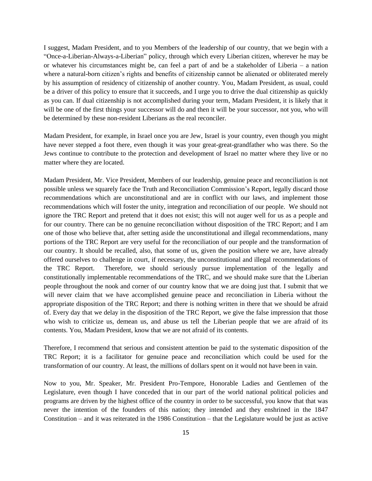I suggest, Madam President, and to you Members of the leadership of our country, that we begin with a "Once-a-Liberian-Always-a-Liberian" policy, through which every Liberian citizen, wherever he may be or whatever his circumstances might be, can feel a part of and be a stakeholder of Liberia – a nation where a natural-born citizen's rights and benefits of citizenship cannot be alienated or obliterated merely by his assumption of residency of citizenship of another country. You, Madam President, as usual, could be a driver of this policy to ensure that it succeeds, and I urge you to drive the dual citizenship as quickly as you can. If dual citizenship is not accomplished during your term, Madam President, it is likely that it will be one of the first things your successor will do and then it will be your successor, not you, who will be determined by these non-resident Liberians as the real reconciler.

Madam President, for example, in Israel once you are Jew, Israel is your country, even though you might have never stepped a foot there, even though it was your great-great-grandfather who was there. So the Jews continue to contribute to the protection and development of Israel no matter where they live or no matter where they are located.

Madam President, Mr. Vice President, Members of our leadership, genuine peace and reconciliation is not possible unless we squarely face the Truth and Reconciliation Commission's Report, legally discard those recommendations which are unconstitutional and are in conflict with our laws, and implement those recommendations which will foster the unity, integration and reconciliation of our people. We should not ignore the TRC Report and pretend that it does not exist; this will not auger well for us as a people and for our country. There can be no genuine reconciliation without disposition of the TRC Report; and I am one of those who believe that, after setting aside the unconstitutional and illegal recommendations, many portions of the TRC Report are very useful for the reconciliation of our people and the transformation of our country. It should be recalled, also, that some of us, given the position where we are, have already offered ourselves to challenge in court, if necessary, the unconstitutional and illegal recommendations of the TRC Report. Therefore, we should seriously pursue implementation of the legally and constitutionally implementable recommendations of the TRC, and we should make sure that the Liberian people throughout the nook and corner of our country know that we are doing just that. I submit that we will never claim that we have accomplished genuine peace and reconciliation in Liberia without the appropriate disposition of the TRC Report; and there is nothing written in there that we should be afraid of. Every day that we delay in the disposition of the TRC Report, we give the false impression that those who wish to criticize us, demean us, and abuse us tell the Liberian people that we are afraid of its contents. You, Madam President, know that we are not afraid of its contents.

Therefore, I recommend that serious and consistent attention be paid to the systematic disposition of the TRC Report; it is a facilitator for genuine peace and reconciliation which could be used for the transformation of our country. At least, the millions of dollars spent on it would not have been in vain.

Now to you, Mr. Speaker, Mr. President Pro-Tempore, Honorable Ladies and Gentlemen of the Legislature, even though I have conceded that in our part of the world national political policies and programs are driven by the highest office of the country in order to be successful, you know that that was never the intention of the founders of this nation; they intended and they enshrined in the 1847 Constitution – and it was reiterated in the 1986 Constitution – that the Legislature would be just as active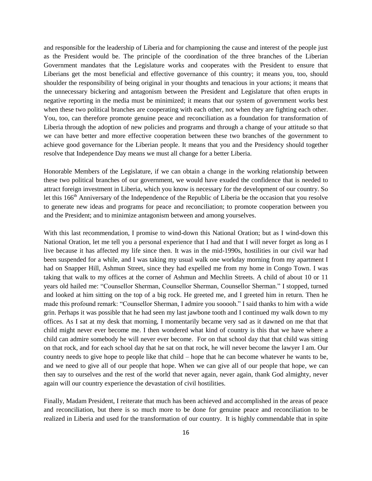and responsible for the leadership of Liberia and for championing the cause and interest of the people just as the President would be. The principle of the coordination of the three branches of the Liberian Government mandates that the Legislature works and cooperates with the President to ensure that Liberians get the most beneficial and effective governance of this country; it means you, too, should shoulder the responsibility of being original in your thoughts and tenacious in your actions; it means that the unnecessary bickering and antagonism between the President and Legislature that often erupts in negative reporting in the media must be minimized; it means that our system of government works best when these two political branches are cooperating with each other, not when they are fighting each other. You, too, can therefore promote genuine peace and reconciliation as a foundation for transformation of Liberia through the adoption of new policies and programs and through a change of your attitude so that we can have better and more effective cooperation between these two branches of the government to achieve good governance for the Liberian people. It means that you and the Presidency should together resolve that Independence Day means we must all change for a better Liberia.

Honorable Members of the Legislature, if we can obtain a change in the working relationship between these two political branches of our government, we would have exuded the confidence that is needed to attract foreign investment in Liberia, which you know is necessary for the development of our country. So let this 166<sup>th</sup> Anniversary of the Independence of the Republic of Liberia be the occasion that you resolve to generate new ideas and programs for peace and reconciliation; to promote cooperation between you and the President; and to minimize antagonism between and among yourselves.

With this last recommendation, I promise to wind-down this National Oration; but as I wind-down this National Oration, let me tell you a personal experience that I had and that I will never forget as long as I live because it has affected my life since then. It was in the mid-1990s, hostilities in our civil war had been suspended for a while, and I was taking my usual walk one workday morning from my apartment I had on Snapper Hill, Ashmun Street, since they had expelled me from my home in Congo Town. I was taking that walk to my offices at the corner of Ashmun and Mechlin Streets. A child of about 10 or 11 years old hailed me: "Counsellor Sherman, Counsellor Sherman, Counsellor Sherman." I stopped, turned and looked at him sitting on the top of a big rock. He greeted me, and I greeted him in return. Then he made this profound remark: "Counsellor Sherman, I admire you sooooh." I said thanks to him with a wide grin. Perhaps it was possible that he had seen my last jawbone tooth and I continued my walk down to my offices. As I sat at my desk that morning, I momentarily became very sad as it dawned on me that that child might never ever become me. I then wondered what kind of country is this that we have where a child can admire somebody he will never ever become. For on that school day that that child was sitting on that rock, and for each school day that he sat on that rock, he will never become the lawyer I am. Our country needs to give hope to people like that child – hope that he can become whatever he wants to be, and we need to give all of our people that hope. When we can give all of our people that hope, we can then say to ourselves and the rest of the world that never again, never again, thank God almighty, never again will our country experience the devastation of civil hostilities.

Finally, Madam President, I reiterate that much has been achieved and accomplished in the areas of peace and reconciliation, but there is so much more to be done for genuine peace and reconciliation to be realized in Liberia and used for the transformation of our country. It is highly commendable that in spite